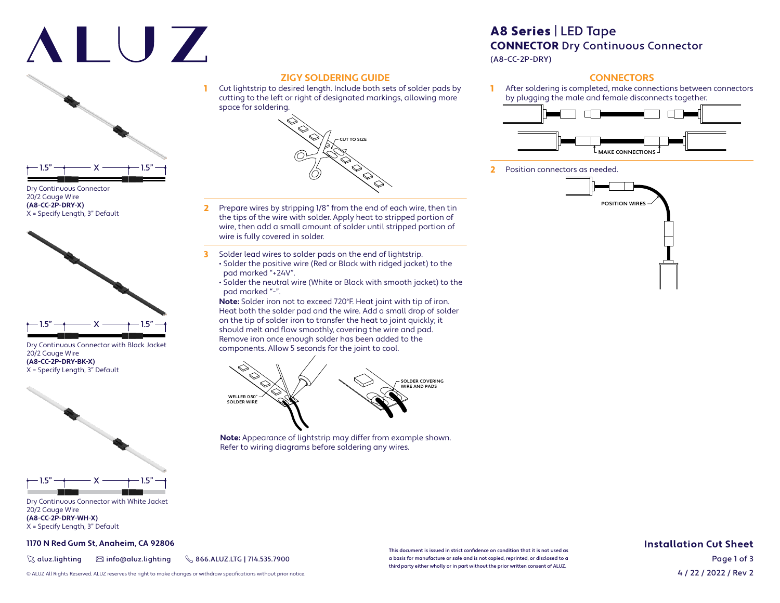# ALUZ



Dry Continuous Connector 20/2 Gauge Wire **(A8-CC-2P-DRY-X)** X = Specify Length, 3" Default



Dry Continuous Connector with Black Jacket 20/2 Gauge Wire **(A8-CC-2P-DRY-BK-X)** X = Specify Length, 3" Default



Dry Continuous Connector with White Jacket 20/2 Gauge Wire **(A8-CC-2P-DRY-WH-X)** X = Specify Length, 3" Default

**1170 N Red Gum St, Anaheim, CA 92806**

 $\%$  aluz.lighting  $\%$  info@aluz.lighting  $\%$  866.ALUZ.LTG | 714.535.7900

## **ZIGY SOLDERING GUIDE**

1 Cut lightstrip to desired length. Include both sets of solder pads by cutting to the left or right of designated markings, allowing more space for soldering.



- 2 Prepare wires by stripping 1/8" from the end of each wire, then tin the tips of the wire with solder. Apply heat to stripped portion of wire, then add a small amount of solder until stripped portion of wire is fully covered in solder.
- 3 Solder lead wires to solder pads on the end of lightstrip. • Solder the positive wire (Red or Black with ridged jacket) to the pad marked "+24V".
	- Solder the neutral wire (White or Black with smooth jacket) to the pad marked "-".

**Note:** Solder iron not to exceed 720°F. Heat joint with tip of iron. Heat both the solder pad and the wire. Add a small drop of solder on the tip of solder iron to transfer the heat to joint quickly; it should melt and flow smoothly, covering the wire and pad. Remove iron once enough solder has been added to the components. Allow 5 seconds for the joint to cool.



**Note:** Appearance of lightstrip may differ from example shown. Refer to wiring diagrams before soldering any wires.

## A8 Series | LED Tape CONNECTOR Dry Continuous Connector

(A8-CC-2P-DRY)

#### **CONNECTORS**

1 After soldering is completed, make connections between connectors by plugging the male and female disconnects together.



2 Position connectors as needed.



#### **Installation Cut Sheet**

4 / 22 / 2022 / Rev 2 Page 1 of 3

© ALUZ All Rights Reserved. ALUZ reserves the right to make changes or withdraw specifi cations without prior notice.

This document is issued in strict confidence on condition that it is not used as a basis for manufacture or sale and is not copied, reprinted, or disclosed to a third party either wholly or in part without the prior written consent of ALUZ.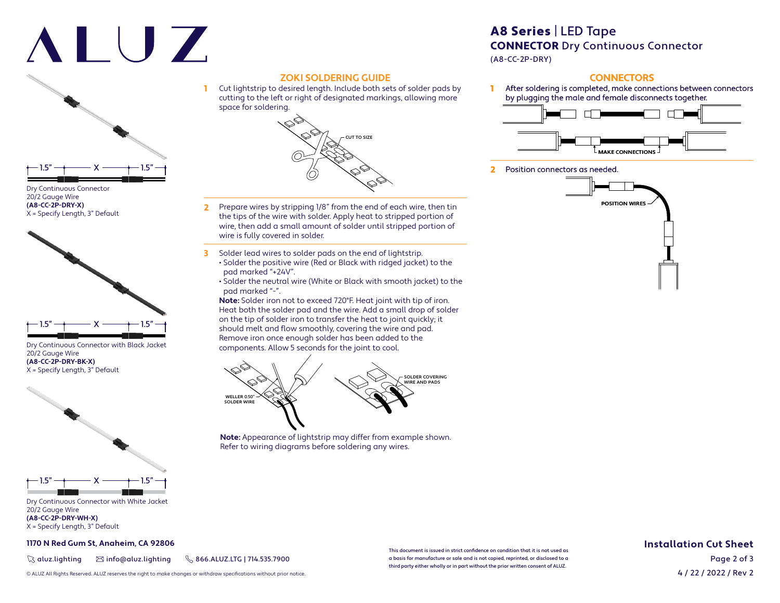# ALUZ



Dry Continuous Connector 20/2 Gauge Wire **(A8-CC-2P-DRY-X)** X = Specify Length, 3" Default



Dry Continuous Connector with Black Jacket 20/2 Gauge Wire **(A8-CC-2P-DRY-BK-X)** X = Specify Length, 3" Default



Dry Continuous Connector with White Jacket 20/2 Gauge Wire **(A8-CC-2P-DRY-WH-X)** X = Specify Length, 3" Default

**1170 N Red Gum St, Anaheim, CA 92806**

 $\%$  aluz.lighting  $\%$  info@aluz.lighting  $\%$  866.ALUZ.LTG | 714.535.7900

#### **ZOKI SOLDERING GUIDE** 1 Cut lightstrip to desired length. Include both sets of solder pads by

cutting to the left or right of designated markings, allowing more space for soldering.



- 2 Prepare wires by stripping 1/8" from the end of each wire, then tin the tips of the wire with solder. Apply heat to stripped portion of wire, then add a small amount of solder until stripped portion of wire is fully covered in solder.
- 3 Solder lead wires to solder pads on the end of lightstrip. • Solder the positive wire (Red or Black with ridged jacket) to the pad marked "+24V".
	- Solder the neutral wire (White or Black with smooth jacket) to the pad marked "-".

**Note:** Solder iron not to exceed 720°F. Heat joint with tip of iron. Heat both the solder pad and the wire. Add a small drop of solder on the tip of solder iron to transfer the heat to joint quickly; it should melt and flow smoothly, covering the wire and pad. Remove iron once enough solder has been added to the components. Allow 5 seconds for the joint to cool.



**Note:** Appearance of lightstrip may differ from example shown. Refer to wiring diagrams before soldering any wires.

### A8 Series | LED Tape CONNECTOR Dry Continuous Connector

(A8-CC-2P-DRY)

#### **CONNECTORS**

1 After soldering is completed, make connections between connectors by plugging the male and female disconnects together.



2 Position connectors as needed.



#### **Installation Cut Sheet**

4 / 22 / 2022 / Rev 2 Page 2 of 3

© ALUZ All Rights Reserved. ALUZ reserves the right to make changes or withdraw specifi cations without prior notice.

This document is issued in strict confidence on condition that it is not used as a basis for manufacture or sale and is not copied, reprinted, or disclosed to a third party either wholly or in part without the prior written consent of ALUZ.